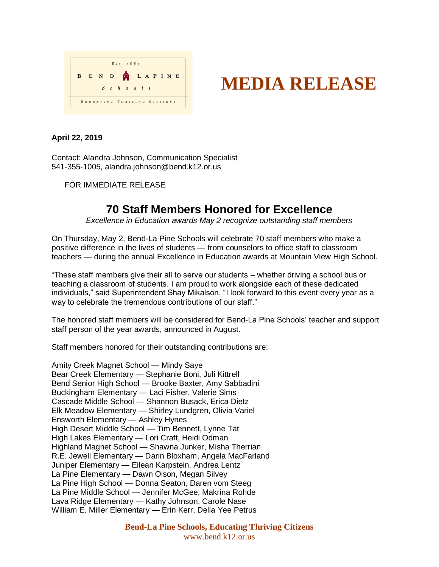

## **MEDIA RELEASE**

## **April 22, 2019**

Contact: Alandra Johnson, Communication Specialist 541-355-1005, alandra.johnson@bend.k12.or.us

FOR IMMEDIATE RELEASE

## **70 Staff Members Honored for Excellence**

*Excellence in Education awards May 2 recognize outstanding staff members*

On Thursday, May 2, Bend-La Pine Schools will celebrate 70 staff members who make a positive difference in the lives of students — from counselors to office staff to classroom teachers — during the annual Excellence in Education awards at Mountain View High School.

"These staff members give their all to serve our students – whether driving a school bus or teaching a classroom of students. I am proud to work alongside each of these dedicated individuals," said Superintendent Shay Mikalson. "I look forward to this event every year as a way to celebrate the tremendous contributions of our staff."

The honored staff members will be considered for Bend-La Pine Schools' teacher and support staff person of the year awards, announced in August.

Staff members honored for their outstanding contributions are:

Amity Creek Magnet School — Mindy Saye Bear Creek Elementary — Stephanie Boni, Juli Kittrell Bend Senior High School — Brooke Baxter, Amy Sabbadini Buckingham Elementary — Laci Fisher, Valerie Sims Cascade Middle School — Shannon Busack, Erica Dietz Elk Meadow Elementary — Shirley Lundgren, Olivia Variel Ensworth Elementary — Ashley Hynes High Desert Middle School — Tim Bennett, Lynne Tat High Lakes Elementary — Lori Craft, Heidi Odman Highland Magnet School — Shawna Junker, Misha Therrian R.E. Jewell Elementary — Darin Bloxham, Angela MacFarland Juniper Elementary — Eilean Karpstein, Andrea Lentz La Pine Elementary — Dawn Olson, Megan Silvey La Pine High School — Donna Seaton, Daren vom Steeg La Pine Middle School — Jennifer McGee, Makrina Rohde Lava Ridge Elementary — Kathy Johnson, Carole Nase William E. Miller Elementary — Erin Kerr, Della Yee Petrus